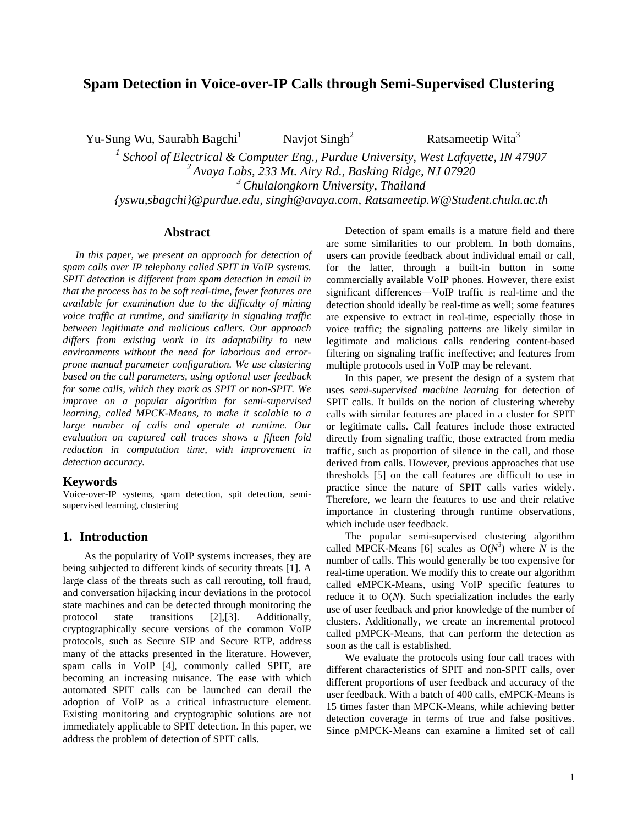# **Spam Detection in Voice-over-IP Calls through Semi-Supervised Clustering**

Yu-Sung Wu, Saurabh Bagchi<sup>1</sup>

Navjot  $Singh<sup>2</sup>$ 

Ratsameetip Wita<sup>3</sup>

<sup>1</sup> School of Electrical & Computer Eng., Purdue University, West Lafayette, IN 47907 *2 Avaya Labs, 233 Mt. Airy Rd., Basking Ridge, NJ 07920 3 Chulalongkorn University, Thailand {yswu,sbagchi}@purdue.edu, singh@avaya.com, Ratsameetip.W@Student.chula.ac.th* 

### **Abstract**

*In this paper, we present an approach for detection of spam calls over IP telephony called SPIT in VoIP systems. SPIT detection is different from spam detection in email in that the process has to be soft real-time, fewer features are available for examination due to the difficulty of mining voice traffic at runtime, and similarity in signaling traffic between legitimate and malicious callers. Our approach differs from existing work in its adaptability to new environments without the need for laborious and errorprone manual parameter configuration. We use clustering based on the call parameters, using optional user feedback for some calls, which they mark as SPIT or non-SPIT. We improve on a popular algorithm for semi-supervised learning, called MPCK-Means, to make it scalable to a large number of calls and operate at runtime. Our evaluation on captured call traces shows a fifteen fold reduction in computation time, with improvement in detection accuracy.* 

### **Keywords**

Voice-over-IP systems, spam detection, spit detection, semisupervised learning, clustering

### **1. Introduction**

 As the popularity of VoIP systems increases, they are being subjected to different kinds of security threats [1]. A large class of the threats such as call rerouting, toll fraud, and conversation hijacking incur deviations in the protocol state machines and can be detected through monitoring the protocol state transitions [2],[3]. Additionally, cryptographically secure versions of the common VoIP protocols, such as Secure SIP and Secure RTP, address many of the attacks presented in the literature. However, spam calls in VoIP [4], commonly called SPIT, are becoming an increasing nuisance. The ease with which automated SPIT calls can be launched can derail the adoption of VoIP as a critical infrastructure element. Existing monitoring and cryptographic solutions are not immediately applicable to SPIT detection. In this paper, we address the problem of detection of SPIT calls.

Detection of spam emails is a mature field and there are some similarities to our problem. In both domains, users can provide feedback about individual email or call, for the latter, through a built-in button in some commercially available VoIP phones. However, there exist significant differences—VoIP traffic is real-time and the detection should ideally be real-time as well; some features are expensive to extract in real-time, especially those in voice traffic; the signaling patterns are likely similar in legitimate and malicious calls rendering content-based filtering on signaling traffic ineffective; and features from multiple protocols used in VoIP may be relevant.

In this paper, we present the design of a system that uses *semi-supervised machine learning* for detection of SPIT calls. It builds on the notion of clustering whereby calls with similar features are placed in a cluster for SPIT or legitimate calls. Call features include those extracted directly from signaling traffic, those extracted from media traffic, such as proportion of silence in the call, and those derived from calls. However, previous approaches that use thresholds [5] on the call features are difficult to use in practice since the nature of SPIT calls varies widely. Therefore, we learn the features to use and their relative importance in clustering through runtime observations, which include user feedback.

The popular semi-supervised clustering algorithm called MPCK-Means [6] scales as  $O(N^3)$  where *N* is the number of calls. This would generally be too expensive for real-time operation. We modify this to create our algorithm called eMPCK-Means, using VoIP specific features to reduce it to O(*N*). Such specialization includes the early use of user feedback and prior knowledge of the number of clusters. Additionally, we create an incremental protocol called pMPCK-Means, that can perform the detection as soon as the call is established.

We evaluate the protocols using four call traces with different characteristics of SPIT and non-SPIT calls, over different proportions of user feedback and accuracy of the user feedback. With a batch of 400 calls, eMPCK-Means is 15 times faster than MPCK-Means, while achieving better detection coverage in terms of true and false positives. Since pMPCK-Means can examine a limited set of call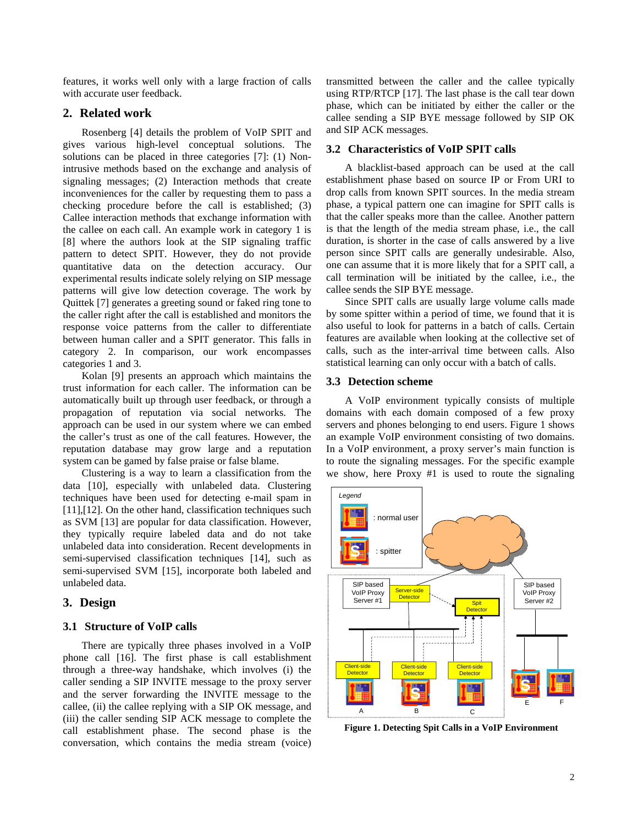features, it works well only with a large fraction of calls with accurate user feedback.

## **2. Related work**

Rosenberg [4] details the problem of VoIP SPIT and gives various high-level conceptual solutions. The solutions can be placed in three categories [7]: (1) Nonintrusive methods based on the exchange and analysis of signaling messages; (2) Interaction methods that create inconveniences for the caller by requesting them to pass a checking procedure before the call is established; (3) Callee interaction methods that exchange information with the callee on each call. An example work in category 1 is [8] where the authors look at the SIP signaling traffic pattern to detect SPIT. However, they do not provide quantitative data on the detection accuracy. Our experimental results indicate solely relying on SIP message patterns will give low detection coverage. The work by Quittek [7] generates a greeting sound or faked ring tone to the caller right after the call is established and monitors the response voice patterns from the caller to differentiate between human caller and a SPIT generator. This falls in category 2. In comparison, our work encompasses categories 1 and 3.

Kolan [9] presents an approach which maintains the trust information for each caller. The information can be automatically built up through user feedback, or through a propagation of reputation via social networks. The approach can be used in our system where we can embed the caller's trust as one of the call features. However, the reputation database may grow large and a reputation system can be gamed by false praise or false blame.

Clustering is a way to learn a classification from the data [10], especially with unlabeled data. Clustering techniques have been used for detecting e-mail spam in [11], [12]. On the other hand, classification techniques such as SVM [13] are popular for data classification. However, they typically require labeled data and do not take unlabeled data into consideration. Recent developments in semi-supervised classification techniques [14], such as semi-supervised SVM [15], incorporate both labeled and unlabeled data.

## **3. Design**

## **3.1 Structure of VoIP calls**

There are typically three phases involved in a VoIP phone call [16]. The first phase is call establishment through a three-way handshake, which involves (i) the caller sending a SIP INVITE message to the proxy server and the server forwarding the INVITE message to the callee, (ii) the callee replying with a SIP OK message, and (iii) the caller sending SIP ACK message to complete the call establishment phase. The second phase is the conversation, which contains the media stream (voice) transmitted between the caller and the callee typically using RTP/RTCP [17]. The last phase is the call tear down phase, which can be initiated by either the caller or the callee sending a SIP BYE message followed by SIP OK and SIP ACK messages.

## **3.2 Characteristics of VoIP SPIT calls**

A blacklist-based approach can be used at the call establishment phase based on source IP or From URI to drop calls from known SPIT sources. In the media stream phase, a typical pattern one can imagine for SPIT calls is that the caller speaks more than the callee. Another pattern is that the length of the media stream phase, i.e., the call duration, is shorter in the case of calls answered by a live person since SPIT calls are generally undesirable. Also, one can assume that it is more likely that for a SPIT call, a call termination will be initiated by the callee, i.e., the callee sends the SIP BYE message.

Since SPIT calls are usually large volume calls made by some spitter within a period of time, we found that it is also useful to look for patterns in a batch of calls. Certain features are available when looking at the collective set of calls, such as the inter-arrival time between calls. Also statistical learning can only occur with a batch of calls.

## **3.3 Detection scheme**

A VoIP environment typically consists of multiple domains with each domain composed of a few proxy servers and phones belonging to end users. Figure 1 shows an example VoIP environment consisting of two domains. In a VoIP environment, a proxy server's main function is to route the signaling messages. For the specific example we show, here Proxy #1 is used to route the signaling



**Figure 1. Detecting Spit Calls in a VoIP Environment**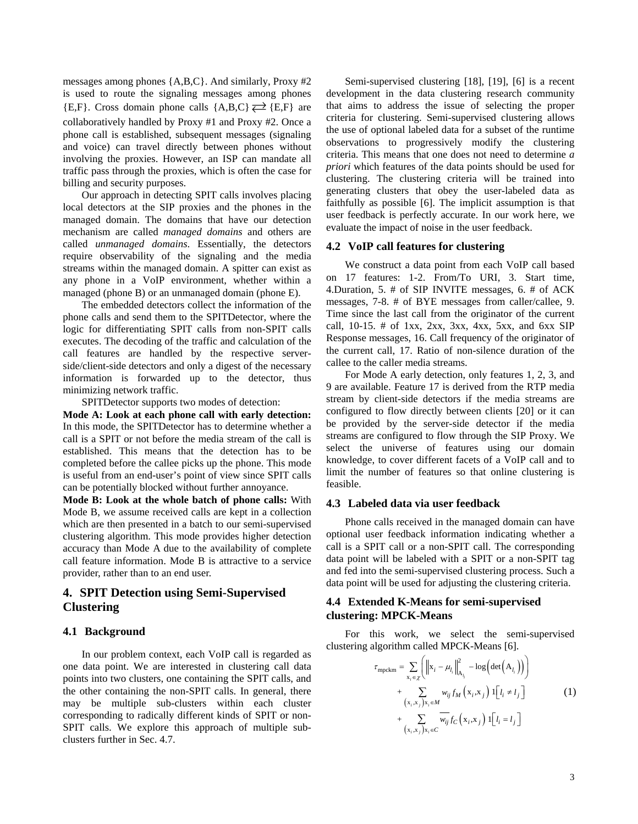messages among phones {A,B,C}. And similarly, Proxy #2 is used to route the signaling messages among phones {E,F}. Cross domain phone calls {A,B,C}  $\rightleftarrows$  {E,F} are collaboratively handled by Proxy #1 and Proxy #2. Once a phone call is established, subsequent messages (signaling and voice) can travel directly between phones without involving the proxies. However, an ISP can mandate all traffic pass through the proxies, which is often the case for billing and security purposes.

Our approach in detecting SPIT calls involves placing local detectors at the SIP proxies and the phones in the managed domain. The domains that have our detection mechanism are called *managed domains* and others are called *unmanaged domains*. Essentially, the detectors require observability of the signaling and the media streams within the managed domain. A spitter can exist as any phone in a VoIP environment, whether within a managed (phone B) or an unmanaged domain (phone E).

The embedded detectors collect the information of the phone calls and send them to the SPITDetector, where the logic for differentiating SPIT calls from non-SPIT calls executes. The decoding of the traffic and calculation of the call features are handled by the respective serverside/client-side detectors and only a digest of the necessary information is forwarded up to the detector, thus minimizing network traffic.

SPITDetector supports two modes of detection:

**Mode A: Look at each phone call with early detection:**  In this mode, the SPITDetector has to determine whether a call is a SPIT or not before the media stream of the call is established. This means that the detection has to be completed before the callee picks up the phone. This mode is useful from an end-user's point of view since SPIT calls can be potentially blocked without further annoyance.

**Mode B: Look at the whole batch of phone calls:** With Mode B, we assume received calls are kept in a collection which are then presented in a batch to our semi-supervised clustering algorithm. This mode provides higher detection accuracy than Mode A due to the availability of complete call feature information. Mode B is attractive to a service provider, rather than to an end user.

# **4. SPIT Detection using Semi-Supervised Clustering**

#### **4.1 Background**

In our problem context, each VoIP call is regarded as one data point. We are interested in clustering call data points into two clusters, one containing the SPIT calls, and the other containing the non-SPIT calls. In general, there may be multiple sub-clusters within each cluster corresponding to radically different kinds of SPIT or non-SPIT calls. We explore this approach of multiple subclusters further in Sec. 4.7.

Semi-supervised clustering [18], [19], [6] is a recent development in the data clustering research community that aims to address the issue of selecting the proper criteria for clustering. Semi-supervised clustering allows the use of optional labeled data for a subset of the runtime observations to progressively modify the clustering criteria. This means that one does not need to determine *a priori* which features of the data points should be used for clustering. The clustering criteria will be trained into generating clusters that obey the user-labeled data as faithfully as possible [6]. The implicit assumption is that user feedback is perfectly accurate. In our work here, we evaluate the impact of noise in the user feedback.

#### **4.2 VoIP call features for clustering**

We construct a data point from each VoIP call based on 17 features: 1-2. From/To URI, 3. Start time, 4.Duration, 5. # of SIP INVITE messages, 6. # of ACK messages, 7-8. # of BYE messages from caller/callee, 9. Time since the last call from the originator of the current call, 10-15. # of 1xx, 2xx, 3xx, 4xx, 5xx, and 6xx SIP Response messages, 16. Call frequency of the originator of the current call, 17. Ratio of non-silence duration of the callee to the caller media streams.

For Mode A early detection, only features 1, 2, 3, and 9 are available. Feature 17 is derived from the RTP media stream by client-side detectors if the media streams are configured to flow directly between clients [20] or it can be provided by the server-side detector if the media streams are configured to flow through the SIP Proxy. We select the universe of features using our domain knowledge, to cover different facets of a VoIP call and to limit the number of features so that online clustering is feasible.

### **4.3 Labeled data via user feedback**

Phone calls received in the managed domain can have optional user feedback information indicating whether a call is a SPIT call or a non-SPIT call. The corresponding data point will be labeled with a SPIT or a non-SPIT tag and fed into the semi-supervised clustering process. Such a data point will be used for adjusting the clustering criteria.

## **4.4 Extended K-Means for semi-supervised clustering: MPCK-Means**

For this work, we select the semi-supervised clustering algorithm called MPCK-Means [6].

$$
\tau_{\text{mpckm}} = \sum_{\mathbf{x}_i \in \chi} \left( \left\| \mathbf{x}_i - \mu_{l_i} \right\|_{\mathbf{A}_{l_i}}^2 - \log \left( \det \left( \mathbf{A}_{l_i} \right) \right) \right) \n+ \sum_{\left( \mathbf{x}_i, \mathbf{x}_j \right) \mathbf{x}_i \in \mathcal{M}} w_{ij} f_{\mathcal{M}} \left( \mathbf{x}_i, \mathbf{x}_j \right) \mathbf{1} \left[ l_i \neq l_j \right] \n+ \sum_{\left( \mathbf{x}_i, \mathbf{x}_j \right) \mathbf{x}_i \in \mathcal{C}} \overline{w_{ij}} f_{\mathcal{C}} \left( \mathbf{x}_i, \mathbf{x}_j \right) \mathbf{1} \left[ l_i = l_j \right]
$$
\n(1)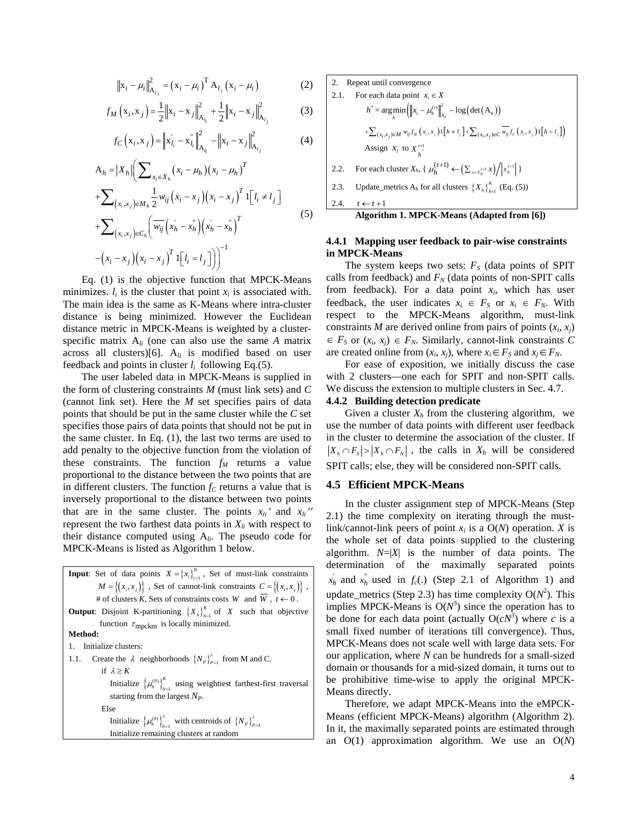$$
\|x_i - \mu_i\|_{A_{l_i}}^2 = (x_i - \mu_i)^T A_{l_i}(x_i - \mu_i)
$$
 (2)

$$
f_M(x_i, x_j) = \frac{1}{2} \|x_i - x_j\|_{A_{l_i}}^2 + \frac{1}{2} \|x_i - x_j\|_{A_{l_j}}^2
$$
 (3)

$$
f_C(x_i, x_j) = ||x_{l_i} - x_{l_i}||_{A_{l_i}}^2 - ||x_i - x_j||_{A_{l_j}}^2
$$
 (4)

( )( ) ( )( ) ( ) ( )( ) ( ) ( )( ) , ' '' ' '' , 1 A <sup>1</sup> <sup>1</sup> 2 1 *i h ij h ij h T h h i hi h x X T ij i j i j i j xx M T ij h h h h xx C T i ji j ij X xx wx x x x l l wx x x x xxxx ll* <sup>μ</sup> <sup>μ</sup> <sup>∈</sup> ∈ ∈ − <sup>⎛</sup> = −− <sup>⎜</sup> ⎝ + −− ≠ ⎡ ⎤ ⎣ ⎦ ⎛ + −− ⎜ ⎝ ⎞⎞ −− − = ⎡ ⎤ ⎣ ⎦⎟⎟ ⎠⎠ ∑ ∑ ∑ (5)

Eq. (1) is the objective function that MPCK-Means minimizes.  $l_i$  is the cluster that point  $x_i$  is associated with. The main idea is the same as K-Means where intra-cluster distance is being minimized. However the Euclidean distance metric in MPCK-Means is weighted by a clusterspecific matrix A*li* (one can also use the same *A* matrix across all clusters)[6]. A*li* is modified based on user feedback and points in cluster  $l_i$  following Eq.(5).

The user labeled data in MPCK-Means is supplied in the form of clustering constraints *M* (must link sets) and *C* (cannot link set). Here the *M* set specifies pairs of data points that should be put in the same cluster while the *C* set specifies those pairs of data points that should not be put in the same cluster. In Eq. (1), the last two terms are used to add penalty to the objective function from the violation of these constraints. The function  $f_M$  returns a value proportional to the distance between the two points that are in different clusters. The function  $f_C$  returns a value that is inversely proportional to the distance between two points that are in the same cluster. The points  $x_{li}$ <sup>'</sup> and  $x_{li}$ <sup>''</sup> represent the two farthest data points in  $X_{li}$  with respect to their distance computed using A*li*. The pseudo code for MPCK-Means is listed as Algorithm 1 below.

**Input**: Set of data points  $X = \{x_i\}_{i=1}^N$ , Set of must-link constraints  $M = \{(x_i, x_j)\}\$ , Set of cannot-link constraints  $C = \{(x_i, x_j)\}\$ , # of clusters  $\hat{K}$ , Sets of constraints costs  $W$  and  $\overline{W}$ ,  $\hat{t} \leftarrow 0$ . **Output:** Disjoint K-partitioning  ${X_h}_{h=1}^K$  of *X* such that objective function  $\tau_{\text{mpckm}}$  is locally minimized. **Method:**  1. Initialize clusters: 1.1. Create the  $\lambda$  neighborhoods  $\{N_p\}_{p=1}^{\lambda}$  from M and C. if  $\lambda \geq K$ Initialize  $\{\mu_h^{(0)}\}_{h=1}^{\Lambda}$  $\mu_h^{(0)}\Big|_{h=1}^K$  using weightiest farthest-first traversal starting from the largest *NP*. Else Initialize  $\left\{\mu_h^{(0)}\right\}_{h=1}^{\lambda}$  with centroids of  $\left\{N_P\right\}_{P=1}^{\lambda}$ Initialize remaining clusters at random

\n- 2. Repeat until convergence
\n- 2.1. For each data point 
$$
x_i \in X
$$
\n- $h^* = \arg\min_{h} \left( \left\| x_i - \mu_h^{(t)} \right\|_{A_h}^2 - \log\left(\det(A_h)\right) \right.$
\n- $+ \sum_{(x_i, x_j) \in M} w_{ij} f_M(x_i, x_j) \cdot [h \neq l_j] + \sum_{(x_i, x_j) \in C} \overline{w_{ij}} f_C(x_i, x_j) \cdot [h = l_j]$
\n- Assign  $x_i$  to  $X_{h^*}^{t+1}$
\n- 2.2. For each cluster  $X_h$ ,  $\{ \mu_h^{(t+1)} \leftarrow \left( \sum_{x \in X_h^{t+1}} x \right) / \left| x_h^{t+1} \right| \}$
\n- 2.3. Update\_metics  $A_h$  for all clusters  $\{ X_h \}_{h=1}^K$  (Eq. (5))
\n- 2.4.  $t \leftarrow t+1$
\n- Algorithm 1. MPCK-Means (Adapted from [6])
\n

### **4.4.1 Mapping user feedback to pair-wise constraints in MPCK-Means**

The system keeps two sets:  $F<sub>S</sub>$  (data points of SPIT) calls from feedback) and  $F_N$  (data points of non-SPIT calls from feedback). For a data point  $x_i$ , which has user feedback, the user indicates  $x_i \in F_S$  or  $x_i \in F_N$ . With respect to the MPCK-Means algorithm, must-link constraints *M* are derived online from pairs of points  $(x_i, x_j)$  $\in$  *F<sub>S</sub>* or  $(x_i, x_j) \in F_N$ . Similarly, cannot-link constraints *C* are created online from  $(x_i, x_j)$ , where  $x_i \in F_S$  and  $x_j \in F_N$ .

For ease of exposition, we initially discuss the case with 2 clusters—one each for SPIT and non-SPIT calls. We discuss the extension to multiple clusters in Sec. 4.7.

### **4.4.2 Building detection predicate**

Given a cluster  $X_h$  from the clustering algorithm, we use the number of data points with different user feedback in the cluster to determine the association of the cluster. If  $|X_h \cap F_s| > |X_h \cap F_s|$ , the calls in  $X_h$  will be considered SPIT calls; else, they will be considered non-SPIT calls.

### **4.5 Efficient MPCK-Means**

In the cluster assignment step of MPCK-Means (Step 2.1) the time complexity on iterating through the mustlink/cannot-link peers of point  $x_i$  is a  $O(N)$  operation. *X* is the whole set of data points supplied to the clustering algorithm.  $N=|X|$  is the number of data points. The determination of the maximally separated points  $x_h$  and  $x_h$  used in  $f_c(.)$  (Step 2.1 of Algorithm 1) and update\_metrics (Step 2.3) has time complexity  $O(N^2)$ . This implies MPCK-Means is  $O(N^3)$  since the operation has to be done for each data point (actually  $O(cN^3)$ ) where *c* is a small fixed number of iterations till convergence). Thus, MPCK-Means does not scale well with large data sets. For our application, where *N* can be hundreds for a small-sized domain or thousands for a mid-sized domain, it turns out to be prohibitive time-wise to apply the original MPCK-Means directly.

Therefore, we adapt MPCK-Means into the eMPCK-Means (efficient MPCK-Means) algorithm (Algorithm 2). In it, the maximally separated points are estimated through an O(1) approximation algorithm. We use an O(*N*)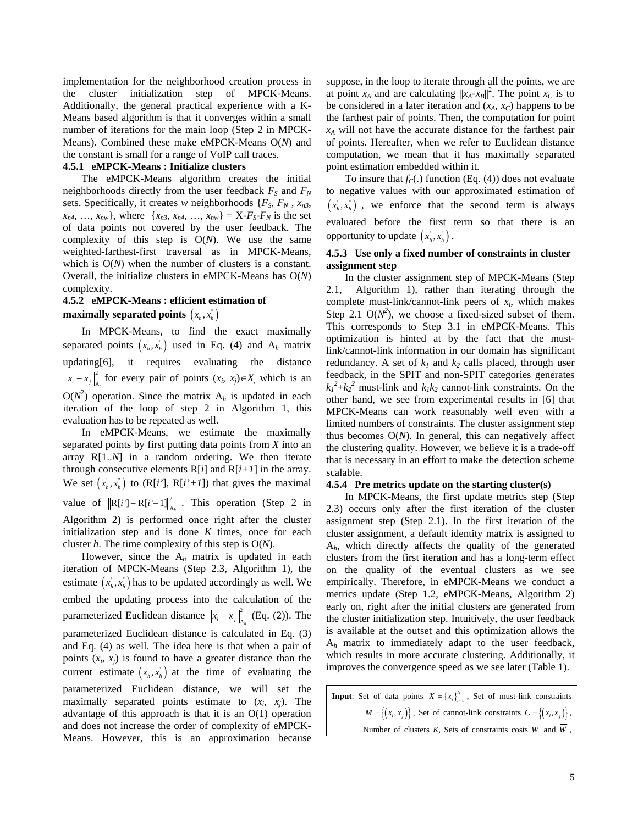implementation for the neighborhood creation process in the cluster initialization step of MPCK-Means. Additionally, the general practical experience with a K-Means based algorithm is that it converges within a small number of iterations for the main loop (Step 2 in MPCK-Means). Combined these make eMPCK-Means O(*N*) and the constant is small for a range of VoIP call traces.

#### **4.5.1 eMPCK-Means : Initialize clusters**

The eMPCK-Means algorithm creates the initial neighborhoods directly from the user feedback  $F<sub>S</sub>$  and  $F<sub>N</sub>$ sets. Specifically, it creates *w* neighborhoods  $\{F_s, F_N, x_n, x_n\}$  $x_{n4}, \ldots, x_{nw}$ , where  $\{x_{n3}, x_{n4}, \ldots, x_{nw}\} = X - F_S - F_N$  is the set of data points not covered by the user feedback. The complexity of this step is O(*N*). We use the same weighted-farthest-first traversal as in MPCK-Means, which is  $O(N)$  when the number of clusters is a constant. Overall, the initialize clusters in eMPCK-Means has O(*N*) complexity.

## **4.5.2 eMPCK-Means : efficient estimation of**  maximally separated points  $\left( x_{\scriptscriptstyle h}^{},x_{\scriptscriptstyle h}^{*} \right)$

In MPCK-Means, to find the exact maximally separated points  $(x_h, x_h)$  used in Eq. (4) and  $A_h$  matrix  $updating[6]$ , it requires evaluating the distance  $\left\| x_i - x_j \right\|_{A_i}^2$  for every pair of points  $(x_i, x_j) \in X$ , which is an  $O(N^2)$  operation. Since the matrix  $A_h$  is updated in each iteration of the loop of step 2 in Algorithm 1, this evaluation has to be repeated as well.

In eMPCK-Means, we estimate the maximally separated points by first putting data points from *X* into an array R[1..*N*] in a random ordering. We then iterate through consecutive elements  $R[i]$  and  $R[i+1]$  in the array. We set  $(x_h, x_h)$  to  $(R[i'], R[i'+1])$  that gives the maximal value of  $||R[i'] - R[i'+1]||_{A_h}^2$ . This operation (Step 2 in Algorithm 2) is performed once right after the cluster initialization step and is done *K* times, once for each cluster *h*. The time complexity of this step is O(*N*).

However, since the A*h* matrix is updated in each iteration of MPCK-Means (Step 2.3, Algorithm 1), the estimate  $(x_h, x_h)$  has to be updated accordingly as well. We embed the updating process into the calculation of the parameterized Euclidean distance  $||x_i - x_j||_{A_h}^2$  (Eq. (2)). The parameterized Euclidean distance is calculated in Eq. (3) and Eq. (4) as well. The idea here is that when a pair of points  $(x_i, x_j)$  is found to have a greater distance than the current estimate  $(x_h, x_h)$  at the time of evaluating the parameterized Euclidean distance, we will set the maximally separated points estimate to  $(x_i, x_j)$ . The advantage of this approach is that it is an O(1) operation and does not increase the order of complexity of eMPCK-Means. However, this is an approximation because

suppose, in the loop to iterate through all the points, we are at point  $x_A$  and are calculating  $||x_A - x_B||^2$ . The point  $x_C$  is to be considered in a later iteration and  $(x_A, x_C)$  happens to be the farthest pair of points. Then, the computation for point *xA* will not have the accurate distance for the farthest pair of points. Hereafter, when we refer to Euclidean distance computation, we mean that it has maximally separated point estimation embedded within it.

To insure that  $f_C(.)$  function (Eq. (4)) does not evaluate to negative values with our approximated estimation of  $(x_h, x_h)$ , we enforce that the second term is always evaluated before the first term so that there is an opportunity to update  $(x_h, x_h)$ .

## **4.5.3 Use only a fixed number of constraints in cluster assignment step**

In the cluster assignment step of MPCK-Means (Step 2.1, Algorithm 1), rather than iterating through the complete must-link/cannot-link peers of *xi*, which makes Step 2.1  $O(N^2)$ , we choose a fixed-sized subset of them. This corresponds to Step 3.1 in eMPCK-Means. This optimization is hinted at by the fact that the mustlink/cannot-link information in our domain has significant redundancy. A set of  $k_1$  and  $k_2$  calls placed, through user feedback, in the SPIT and non-SPIT categories generates  $k_1^2 + k_2^2$  must-link and  $k_1 k_2$  cannot-link constraints. On the other hand, we see from experimental results in [6] that MPCK-Means can work reasonably well even with a limited numbers of constraints. The cluster assignment step thus becomes O(*N*). In general, this can negatively affect the clustering quality. However, we believe it is a trade-off that is necessary in an effort to make the detection scheme scalable.

### **4.5.4 Pre metrics update on the starting cluster(s)**

In MPCK-Means, the first update metrics step (Step 2.3) occurs only after the first iteration of the cluster assignment step (Step 2.1). In the first iteration of the cluster assignment, a default identity matrix is assigned to A*h*, which directly affects the quality of the generated clusters from the first iteration and has a long-term effect on the quality of the eventual clusters as we see empirically. Therefore, in eMPCK-Means we conduct a metrics update (Step 1.2, eMPCK-Means, Algorithm 2) early on, right after the initial clusters are generated from the cluster initialization step. Intuitively, the user feedback is available at the outset and this optimization allows the A*h* matrix to immediately adapt to the user feedback, which results in more accurate clustering. Additionally, it improves the convergence speed as we see later (Table 1).

**Input**: Set of data points  $X = \{x_i\}_{i=1}^N$ , Set of must-link constraints  $M = \{(x_i, x_j)\}\$ , Set of cannot-link constraints  $C = \{(x_i, x_j)\}\$ , Number of clusters *K*, Sets of constraints costs *W* and  $\overline{W}$ ,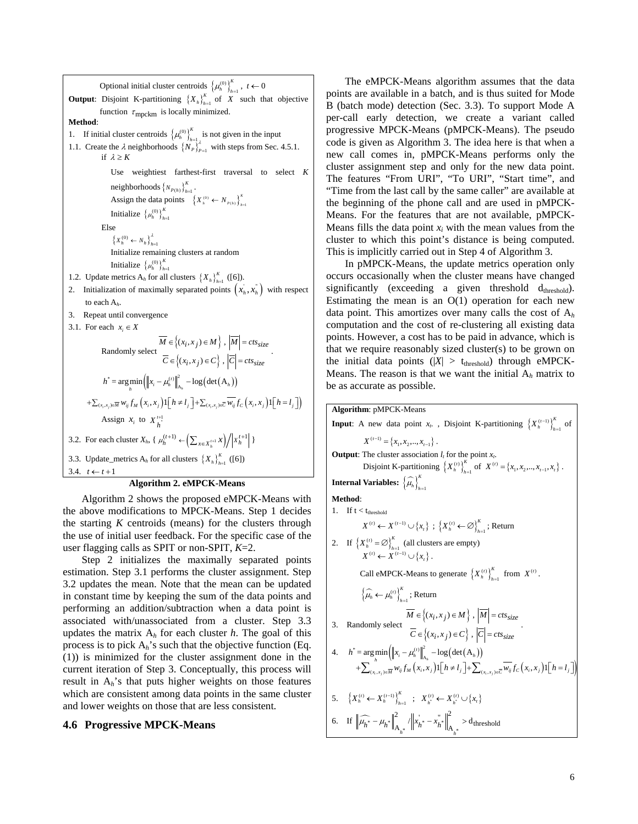Optional initial cluster centroids  $\left\{\mu_n^{(0)}\right\}_{n=1}^K$ ,  $t \leftarrow 0$ **Output:** Disjoint K-partitioning  $\{X_h\}_{h=1}^K$  of *X* such that objective function  $\tau_{\text{mpckm}}$  is locally minimized. **Method**: 1. If initial cluster centroids  $\left\{\mu_h^{(0)}\right\}_{h=1}^{\Lambda}$  $\mu_h^{(0)}\Big|_{h=1}^K$  is not given in the input 1.1. Create the  $\lambda$  neighborhoods  $\{N_p\}_{p=1}^{\lambda}$  with steps from Sec. 4.5.1. if  $\lambda > K$ Use weightiest farthest-first traversal to select *K* neighborhoods  $\{N_{P(h)}\}_{h=1}^K$ . Assign the data points  $\{X_{h}^{(0)} \leftarrow N_{P(h)}\}_{h=1}^{K}$ Initialize  $\{\mu_h^{(0)}\}_{h=1}^k$  $\mu_h^{(0)}\big\}_{h=0}^K$ Else  ${X_h^{(0)} \leftarrow N_h}_{h=1}^{\lambda}$ Initialize remaining clusters at random Initialize  $\{\mu_h^{(0)}\}_{h=1}^k$  $\mu_h^{(0)}\big\}_{h=0}^K$ 1.2. Update metrics  $A_h$  for all clusters  $\{X_h\}_{h=1}^K$  ([6]). 2. Initialization of maximally separated points  $(x_h, x_h)$  with respect to each A*h*. 3. Repeat until convergence 3.1. For each  $x_i \in X$ Randomly select { }  $\{(x_i, x_j) \in C\}$  $(x_i, x_j) \in M \rangle$ ,  $(x_i, x_j) \in C$ ,  $\{i, x_j\} \in M \setminus M = cts_{size}$  $\{i, x_j\} \in C$   $\}, |C| = cts_{size}$  $M \in \{(x_i, x_j) \in M\}$ ,  $|M| = c$ ts  $C \in \{(x_i, x_j) \in C\}$ ,  $|C| = c$ ts  $\in \{(x_i, x_j) \in M\}$ ,  $|M|$  =  $\in \{(x_i, x_j) \in C\}$ ,  $|C|$ = .  $h^* = \argmin_h \left( \left\| x_i - \mu_h^{(t)} \right\|_{A_h}^2 - \log \left( \det(A_h) \right) \right)$  $+ \sum_{(x_i,x_j)\in \overline{M}} w_{ij} f_M\left(x_i,x_j\right) \mathbf{1}\Big[\big(h\neq l_j\Big]\Big] + \sum_{(x_i,x_j)\in \overline{C}} \overline{w_{ij}} f_C\left(x_i,x_j\right) \mathbf{1}\Big[\big(h=l_j\Big]\Big)$ Assign  $x_i$  to  $X_{h}^{t+1}$ 3.2. For each cluster  $X_h$ ,  $\{ \mu_h^{(t+1)} \leftarrow \left( \sum_{x \in X_h^{t+1}} x \right) / \left| x_h^{t+1} \right| \}$ 3.3. Update\_metrics  $A_h$  for all clusters  $\{X_h\}_{h=1}^K$  ([6]) 3.4.  $t \leftarrow t+1$ 

### **Algorithm 2. eMPCK-Means**

Algorithm 2 shows the proposed eMPCK-Means with the above modifications to MPCK-Means. Step 1 decides the starting *K* centroids (means) for the clusters through the use of initial user feedback. For the specific case of the user flagging calls as SPIT or non-SPIT, *K*=2.

Step 2 initializes the maximally separated points estimation. Step 3.1 performs the cluster assignment. Step 3.2 updates the mean. Note that the mean can be updated in constant time by keeping the sum of the data points and performing an addition/subtraction when a data point is associated with/unassociated from a cluster. Step 3.3 updates the matrix A*h* for each cluster *h*. The goal of this process is to pick A*h*'s such that the objective function (Eq. (1)) is minimized for the cluster assignment done in the current iteration of Step 3. Conceptually, this process will result in A*h*'s that puts higher weights on those features which are consistent among data points in the same cluster and lower weights on those that are less consistent.

### **4.6 Progressive MPCK-Means**

The eMPCK-Means algorithm assumes that the data points are available in a batch, and is thus suited for Mode B (batch mode) detection (Sec. 3.3). To support Mode A per-call early detection, we create a variant called progressive MPCK-Means (pMPCK-Means). The pseudo code is given as Algorithm 3. The idea here is that when a new call comes in, pMPCK-Means performs only the cluster assignment step and only for the new data point. The features "From URI", "To URI", "Start time", and "Time from the last call by the same caller" are available at the beginning of the phone call and are used in pMPCK-Means. For the features that are not available, pMPCK-Means fills the data point  $x_i$  with the mean values from the cluster to which this point's distance is being computed. This is implicitly carried out in Step 4 of Algorithm 3.

In pMPCK-Means, the update metrics operation only occurs occasionally when the cluster means have changed significantly (exceeding a given threshold  $d_{threshold}$ ). Estimating the mean is an  $O(1)$  operation for each new data point. This amortizes over many calls the cost of A*<sup>h</sup>* computation and the cost of re-clustering all existing data points. However, a cost has to be paid in advance, which is that we require reasonably sized cluster(s) to be grown on the initial data points  $(|X| > t_{threshold})$  through eMPCK-Means. The reason is that we want the initial  $A_h$  matrix to be as accurate as possible.

Algorithm: pMPCK-Means  
\nInput: A new data point 
$$
x_r
$$
, Disjoint K-partitioning  $\{X_h^{(t-1)}\}_{h=1}^K$  of  
\n
$$
X^{(t-1)} = \{x_1, x_2, ..., x_{t-1}\}.
$$
\nOutput: The cluster association  $l_t$  for the point  $x_r$ .  
\nDisjoint K-partitioning  $\{X_h^{(t)}\}_{h=1}^K$  of  $X^{(t)} = \{x_1, x_2, ..., x_{t-1}, x_t\}.$   
\nInternal Variables:  $\{\widehat{\mu}_h\}_{h=1}^K$   
\nMethod:  
\n1. If  $t < t_{\text{threshold}}$   
\n
$$
X^{(t)} \leftarrow X^{(t-1)} \cup \{x_t\} ; \{X_h^{(t)} \leftarrow \emptyset\}_{h=1}^K
$$
; Return  
\n2. If  $\{X_h^{(t)} = \emptyset\}_{h=1}^K$  (all clusters are empty)  
\n $X^{(t)} \leftarrow X^{(t-1)} \cup \{x_t\}.$   
\nCall eMPCK-Means to generate  $\{X_h^{(t)}\}_{h=1}^K$  from  $X^{(t)}$ .  
\n $\{\widehat{\mu}_h \leftarrow \mu_h^{(t)}\}_{h=1}^K$ ; Return  
\n
$$
\overline{M} \in \{(x_i, x_j) \in M\}, \overline{M} = ctss_{size}
$$
\n3. Randomly select 
$$
\overline{C} \in \{(x_i, x_j) \in C\}, \overline{C} = ctss_{size}
$$
\n4.  $h^* = \arg\min_{h} (\|x_i - \mu_h^{(t)}\|_{\lambda_h}^2 - \log(\text{det}(A_h)) + \sum_{(x_i, x_j) \in \overline{M}} w_{ij} f_u(x_i, x_j) 1[\overline{h} \neq l_j] + \sum_{(x_i, x_j) \in \overline{C}} \overline{w_{ij}} f_c(x_i, x_j) 1[\overline{h} = l_j]$ \n5.  $\{X_h^{(t)} \leftarrow X_h^{(t-1)}\}_{h=1}^K$ ;  $X_h^{(t)} \leftarrow X_h^{(t)} \cup \{x_t\}$   
\n6. If  $\|\widehat{\mu}_h^* - \mu_h^*\|_{A_h^*}^2 /$ 

6. If  $\left\| \widehat{\mu_{k^*}} - \mu_{k^*} \right\|^2$  / $\left\| x_{k^*} - x_{k^*} \right\|$ 

 $\mu_{h^*} - \mu_{h^*} \Big\|_{A_{h^*}} / \|x_{h^*} - x_{h^*} \|_{A_{h^*}} > d$  threshold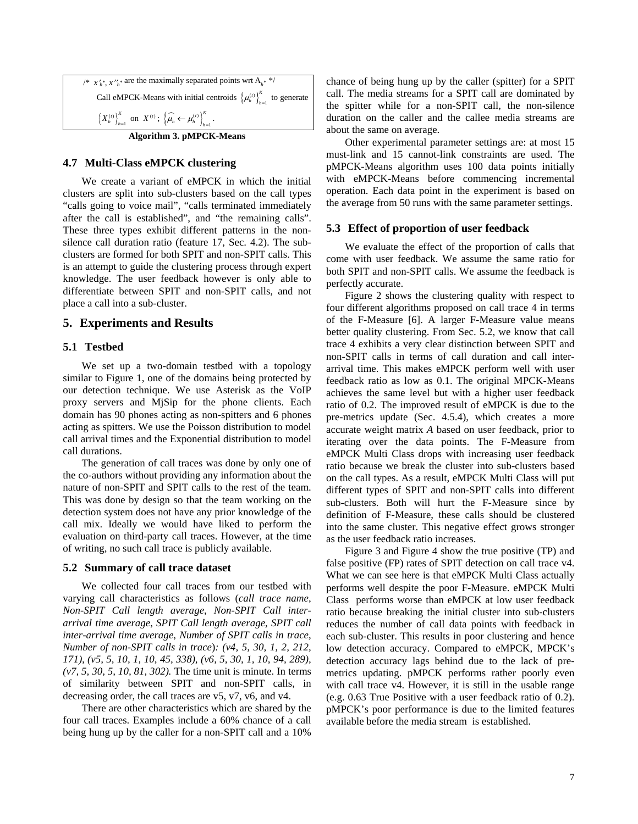

## **4.7 Multi-Class eMPCK clustering**

We create a variant of eMPCK in which the initial clusters are split into sub-clusters based on the call types "calls going to voice mail", "calls terminated immediately after the call is established", and "the remaining calls". These three types exhibit different patterns in the nonsilence call duration ratio (feature 17, Sec. 4.2). The subclusters are formed for both SPIT and non-SPIT calls. This is an attempt to guide the clustering process through expert knowledge. The user feedback however is only able to differentiate between SPIT and non-SPIT calls, and not place a call into a sub-cluster.

### **5. Experiments and Results**

#### **5.1 Testbed**

We set up a two-domain testbed with a topology similar to Figure 1, one of the domains being protected by our detection technique. We use Asterisk as the VoIP proxy servers and MjSip for the phone clients. Each domain has 90 phones acting as non-spitters and 6 phones acting as spitters. We use the Poisson distribution to model call arrival times and the Exponential distribution to model call durations.

The generation of call traces was done by only one of the co-authors without providing any information about the nature of non-SPIT and SPIT calls to the rest of the team. This was done by design so that the team working on the detection system does not have any prior knowledge of the call mix. Ideally we would have liked to perform the evaluation on third-party call traces. However, at the time of writing, no such call trace is publicly available.

#### **5.2 Summary of call trace dataset**

We collected four call traces from our testbed with varying call characteristics as follows (*call trace name*, *Non-SPIT Call length average*, *Non-SPIT Call interarrival time average*, *SPIT Call length average*, *SPIT call inter-arrival time average*, *Number of SPIT calls in trace*, *Number of non-SPIT calls in trace*)*: (v4, 5, 30, 1, 2, 212, 171), (v5, 5, 10, 1, 10, 45, 338), (v6, 5, 30, 1, 10, 94, 289), (v7, 5, 30, 5, 10, 81, 302).* The time unit is minute. In terms of similarity between SPIT and non-SPIT calls, in decreasing order, the call traces are v5, v7, v6, and v4.

There are other characteristics which are shared by the four call traces. Examples include a 60% chance of a call being hung up by the caller for a non-SPIT call and a 10%

chance of being hung up by the caller (spitter) for a SPIT call. The media streams for a SPIT call are dominated by the spitter while for a non-SPIT call, the non-silence duration on the caller and the callee media streams are about the same on average.

Other experimental parameter settings are: at most 15 must-link and 15 cannot-link constraints are used. The pMPCK-Means algorithm uses 100 data points initially with eMPCK-Means before commencing incremental operation. Each data point in the experiment is based on the average from 50 runs with the same parameter settings.

### **5.3 Effect of proportion of user feedback**

We evaluate the effect of the proportion of calls that come with user feedback. We assume the same ratio for both SPIT and non-SPIT calls. We assume the feedback is perfectly accurate.

Figure 2 shows the clustering quality with respect to four different algorithms proposed on call trace 4 in terms of the F-Measure [6]. A larger F-Measure value means better quality clustering. From Sec. 5.2, we know that call trace 4 exhibits a very clear distinction between SPIT and non-SPIT calls in terms of call duration and call interarrival time. This makes eMPCK perform well with user feedback ratio as low as 0.1. The original MPCK-Means achieves the same level but with a higher user feedback ratio of 0.2. The improved result of eMPCK is due to the pre-metrics update (Sec. 4.5.4), which creates a more accurate weight matrix *A* based on user feedback, prior to iterating over the data points. The F-Measure from eMPCK Multi Class drops with increasing user feedback ratio because we break the cluster into sub-clusters based on the call types. As a result, eMPCK Multi Class will put different types of SPIT and non-SPIT calls into different sub-clusters. Both will hurt the F-Measure since by definition of F-Measure, these calls should be clustered into the same cluster. This negative effect grows stronger as the user feedback ratio increases.

Figure 3 and Figure 4 show the true positive (TP) and false positive (FP) rates of SPIT detection on call trace v4. What we can see here is that eMPCK Multi Class actually performs well despite the poor F-Measure. eMPCK Multi Class performs worse than eMPCK at low user feedback ratio because breaking the initial cluster into sub-clusters reduces the number of call data points with feedback in each sub-cluster. This results in poor clustering and hence low detection accuracy. Compared to eMPCK, MPCK's detection accuracy lags behind due to the lack of premetrics updating. pMPCK performs rather poorly even with call trace v4. However, it is still in the usable range (e.g. 0.63 True Positive with a user feedback ratio of 0.2). pMPCK's poor performance is due to the limited features available before the media stream is established.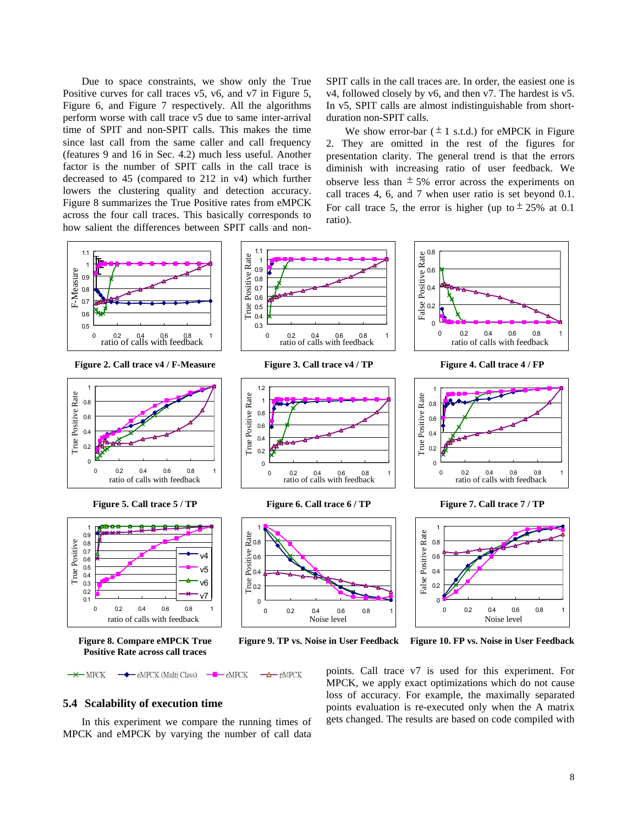Due to space constraints, we show only the True Positive curves for call traces v5, v6, and v7 in Figure 5, Figure 6, and Figure 7 respectively. All the algorithms perform worse with call trace v5 due to same inter-arrival time of SPIT and non-SPIT calls. This makes the time since last call from the same caller and call frequency (features 9 and 16 in Sec. 4.2) much less useful. Another factor is the number of SPIT calls in the call trace is decreased to 45 (compared to 212 in v4) which further lowers the clustering quality and detection accuracy. Figure 8 summarizes the True Positive rates from eMPCK across the four call traces. This basically corresponds to how salient the differences between SPIT calls and nonSPIT calls in the call traces are. In order, the easiest one is v4, followed closely by v6, and then v7. The hardest is v5. In v5, SPIT calls are almost indistinguishable from shortduration non-SPIT calls.

We show error-bar ( $\pm$  1 s.t.d.) for eMPCK in Figure 2. They are omitted in the rest of the figures for presentation clarity. The general trend is that the errors diminish with increasing ratio of user feedback. We observe less than  $\pm$  5% error across the experiments on call traces 4, 6, and 7 when user ratio is set beyond 0.1. For call trace 5, the error is higher (up to  $\pm 25\%$  at 0.1 ratio).



 $\blacksquare$   $\blacksquare$   $\blacksquare$   $\blacksquare$   $\blacksquare$   $\blacksquare$   $\blacksquare$   $\blacksquare$   $\blacksquare$   $\blacksquare$   $\blacksquare$   $\blacksquare$   $\blacksquare$   $\blacksquare$   $\blacksquare$   $\blacksquare$   $\blacksquare$   $\blacksquare$   $\blacksquare$   $\blacksquare$   $\blacksquare$   $\blacksquare$   $\blacksquare$   $\blacksquare$   $\blacksquare$   $\blacksquare$   $\blacksquare$   $\blacksquare$   $\blacksquare$   $\blacksquare$   $\blacksquare$   $-MPCK$ - eMPCK (Multi Class)  $\rightarrow$ pMPCK

## **5.4 Scalability of execution time**

In this experiment we compare the running times of MPCK and eMPCK by varying the number of call data points. Call trace v7 is used for this experiment. For MPCK, we apply exact optimizations which do not cause loss of accuracy. For example, the maximally separated points evaluation is re-executed only when the A matrix gets changed. The results are based on code compiled with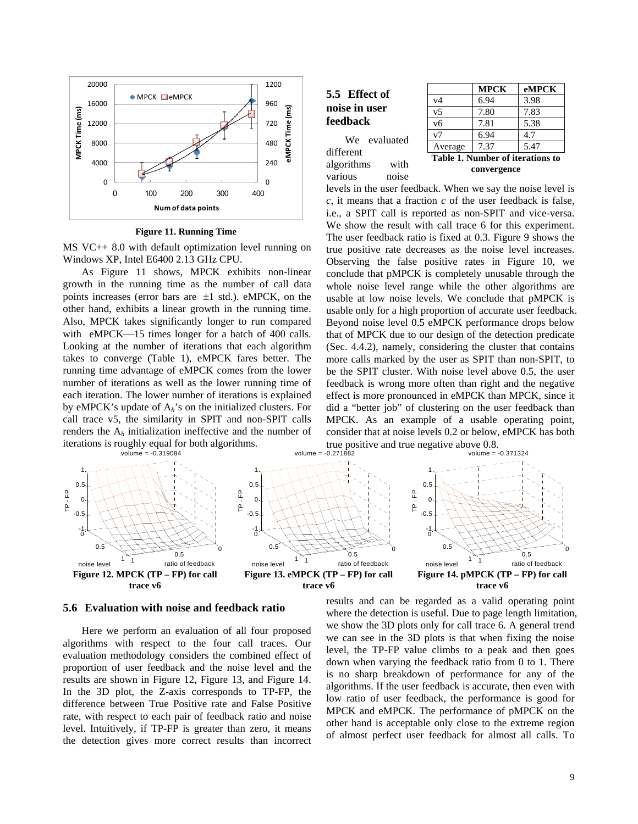

**Figure 11. Running Time**

MS VC++ 8.0 with default optimization level running on Windows XP, Intel E6400 2.13 GHz CPU.

As Figure 11 shows, MPCK exhibits non-linear growth in the running time as the number of call data points increases (error bars are  $\pm 1$  std.). eMPCK, on the other hand, exhibits a linear growth in the running time. Also, MPCK takes significantly longer to run compared with eMPCK—15 times longer for a batch of 400 calls. Looking at the number of iterations that each algorithm takes to converge (Table 1), eMPCK fares better. The running time advantage of eMPCK comes from the lower number of iterations as well as the lower running time of each iteration. The lower number of iterations is explained by eMPCK's update of  $A_h$ 's on the initialized clusters. For call trace v5, the similarity in SPIT and non-SPIT calls renders the A*h* initialization ineffective and the number of iterations is roughly equal for both algorithms.<br>volume = -0.319084

|               | 5.5 Effect of |  |  |  |  |
|---------------|---------------|--|--|--|--|
| noise in user |               |  |  |  |  |
| feedback      |               |  |  |  |  |

**MPCK eMPCK** v4 6.94 3.98 v5 7.80 7.83 v6 7.81 5.38 v7 6.94 4.7 Average 7.37 5.47 **Table 1. Number of iterations to** 

algorithms with various noise

different

We evaluated



levels in the user feedback. When we say the noise level is *c*, it means that a fraction *c* of the user feedback is false, i.e., a SPIT call is reported as non-SPIT and vice-versa. We show the result with call trace 6 for this experiment. The user feedback ratio is fixed at 0.3. Figure 9 shows the true positive rate decreases as the noise level increases. Observing the false positive rates in Figure 10, we conclude that pMPCK is completely unusable through the whole noise level range while the other algorithms are usable at low noise levels. We conclude that pMPCK is usable only for a high proportion of accurate user feedback. Beyond noise level 0.5 eMPCK performance drops below that of MPCK due to our design of the detection predicate (Sec. 4.4.2), namely, considering the cluster that contains more calls marked by the user as SPIT than non-SPIT, to be the SPIT cluster. With noise level above 0.5, the user feedback is wrong more often than right and the negative effect is more pronounced in eMPCK than MPCK, since it did a "better job" of clustering on the user feedback than MPCK. As an example of a usable operating point, consider that at noise levels 0.2 or below, eMPCK has both true positive and true negative above 0.8.



**5.6 Evaluation with noise and feedback ratio** 

Here we perform an evaluation of all four proposed algorithms with respect to the four call traces. Our evaluation methodology considers the combined effect of proportion of user feedback and the noise level and the results are shown in Figure 12, Figure 13, and Figure 14. In the 3D plot, the Z-axis corresponds to TP-FP, the difference between True Positive rate and False Positive rate, with respect to each pair of feedback ratio and noise level. Intuitively, if TP-FP is greater than zero, it means the detection gives more correct results than incorrect results and can be regarded as a valid operating point where the detection is useful. Due to page length limitation, we show the 3D plots only for call trace 6. A general trend we can see in the 3D plots is that when fixing the noise level, the TP-FP value climbs to a peak and then goes down when varying the feedback ratio from 0 to 1. There is no sharp breakdown of performance for any of the algorithms. If the user feedback is accurate, then even with low ratio of user feedback, the performance is good for MPCK and eMPCK. The performance of pMPCK on the other hand is acceptable only close to the extreme region of almost perfect user feedback for almost all calls. To